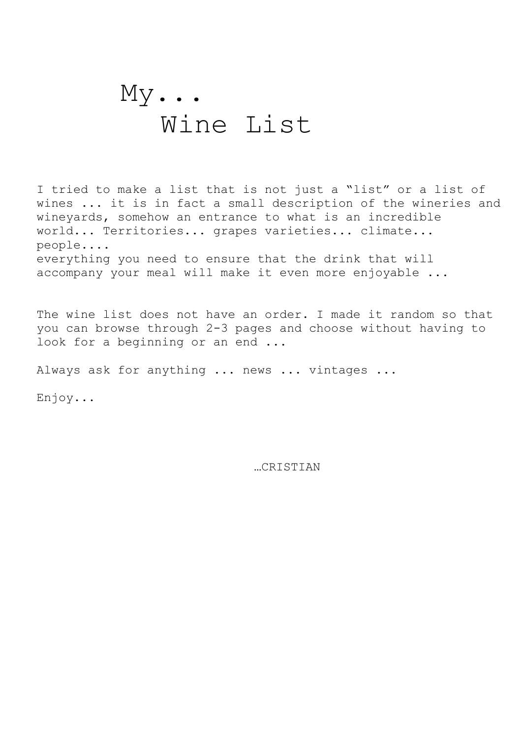## $My...$ Wine List

I tried to make a list that is not just a "list" or a list of wines ... it is in fact a small description of the wineries and wineyards, somehow an entrance to what is an incredible world... Territories... grapes varieties... climate... people.... everything you need to ensure that the drink that will accompany your meal will make it even more enjoyable ...

The wine list does not have an order. I made it random so that you can browse through 2-3 pages and choose without having to look for a beginning or an end ...

Always ask for anything ... news ... vintages ...

Enjoy...

…CRISTIAN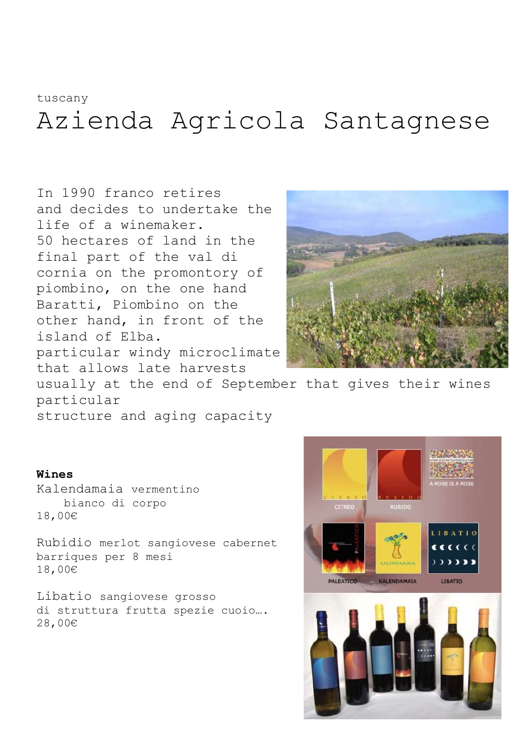### tuscany

# Azienda Agricola Santagnese

In 1990 franco retires and decides to undertake the life of a winemaker. 50 hectares of land in the final part of the val di cornia on the promontory of piombino, on the one hand Baratti, Piombino on the other hand, in front of the island of Elba. particular windy microclimate that allows late harvests



usually at the end of September that gives their wines particular

structure and aging capacity

### Wines

Kalendamaia vermentino bianco di corpo 18,00€

Rubidio merlot sangiovese cabernet barriques per 8 mesi 18,00€

Libatio sangiovese grosso di struttura frutta spezie cuoio…. 28,00€

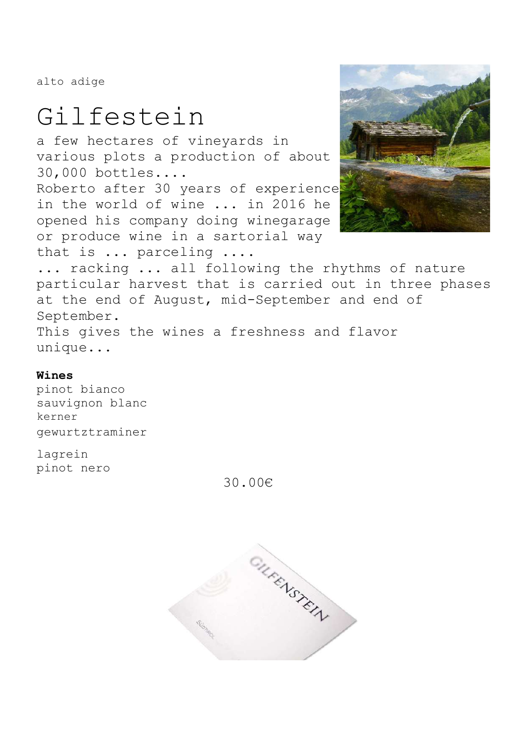alto adige

# Gilfestein

a few hectares of vineyards in various plots a production of about 30,000 bottles....

Roberto after 30 years of experience in the world of wine ... in 2016 he opened his company doing winegarage or produce wine in a sartorial way that is ... parceling ....



... racking ... all following the rhythms of nature particular harvest that is carried out in three phases at the end of August, mid-September and end of September. This gives the wines a freshness and flavor unique...

### Wines

pinot bianco sauvignon blanc kerner gewurtztraminer

lagrein pinot nero

30.00€

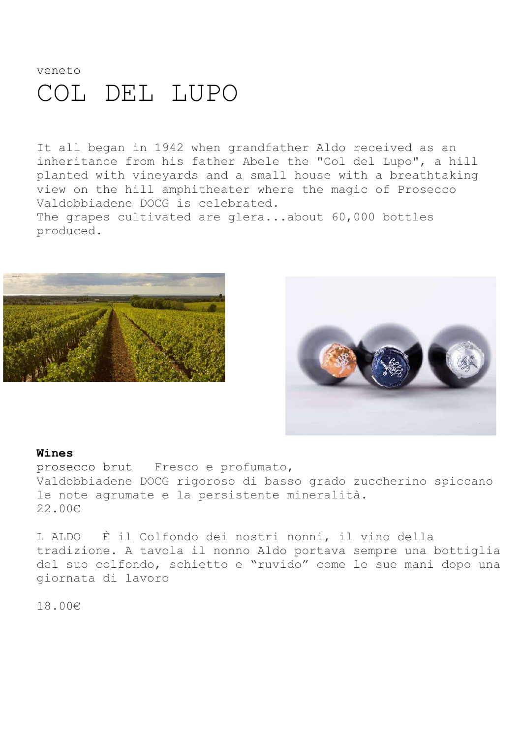### veneto COL DEL LUPO

It all began in 1942 when grandfather Aldo received as an inheritance from his father Abele the "Col del Lupo", a hill planted with vineyards and a small house with a breathtaking view on the hill amphitheater where the magic of Prosecco Valdobbiadene DOCG is celebrated. The grapes cultivated are glera...about 60,000 bottles produced.





#### Wines

prosecco brut Fresco e profumato, Valdobbiadene DOCG rigoroso di basso grado zuccherino spiccano le note agrumate e la persistente mineralità. 22.00€

L ALDO È il Colfondo dei nostri nonni, il vino della tradizione. A tavola il nonno Aldo portava sempre una bottiglia del suo colfondo, schietto e "ruvido" come le sue mani dopo una giornata di lavoro

18.00€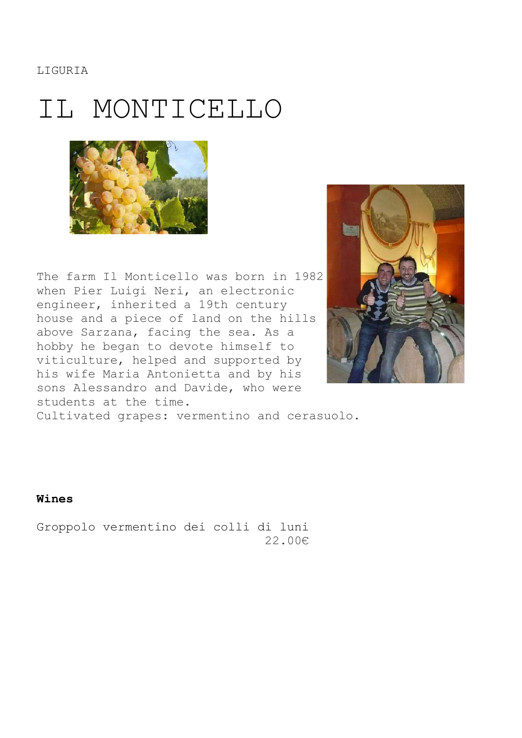**LIGURIA** 

## IL MONTICELLO



The farm Il Monticello was born in 1982 when Pier Luigi Neri, an electronic engineer, inherited a 19th century house and a piece of land on the hills above Sarzana, facing the sea. As a hobby he began to devote himself to viticulture, helped and supported by his wife Maria Antonietta and by his sons Alessandro and Davide, who were students at the time.



Cultivated grapes: vermentino and cerasuolo.

Wines

Groppolo vermentino dei colli di luni 22.00€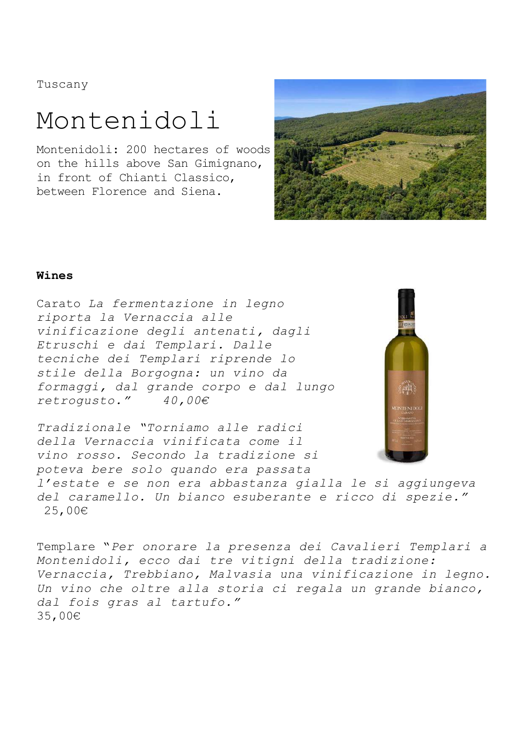Tuscany

## Montenidoli

Montenidoli: 200 hectares of woods on the hills above San Gimignano, in front of Chianti Classico, between Florence and Siena.



### Wines

Carato La fermentazione in legno riporta la Vernaccia alle vinificazione degli antenati, dagli Etruschi e dai Templari. Dalle tecniche dei Templari riprende lo stile della Borgogna: un vino da formaggi, dal grande corpo e dal lungo<br>retroqusto." 40,00€ retrogusto."

Tradizionale "Torniamo alle radici della Vernaccia vinificata come il vino rosso. Secondo la tradizione si poteva bere solo quando era passata



l'estate e se non era abbastanza gialla le si aggiungeva del caramello. Un bianco esuberante e ricco di spezie." 25,00€

Templare "Per onorare la presenza dei Cavalieri Templari a Montenidoli, ecco dai tre vitigni della tradizione: Vernaccia, Trebbiano, Malvasia una vinificazione in legno. Un vino che oltre alla storia ci regala un grande bianco, dal fois gras al tartufo." 35,00€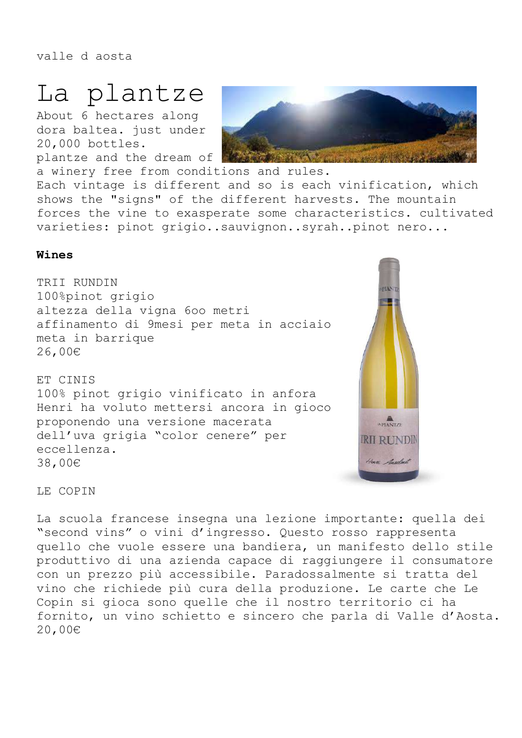valle d aosta

## La plantze

About 6 hectares along dora baltea. just under 20,000 bottles. plantze and the dream of



a winery free from conditions and rules. Each vintage is different and so is each vinification, which shows the "signs" of the different harvests. The mountain forces the vine to exasperate some characteristics. cultivated varieties: pinot grigio..sauvignon..syrah..pinot nero...

### Wines

TRII RUNDIN 100%pinot grigio altezza della vigna 6oo metri affinamento di 9mesi per meta in acciaio meta in barrique 26,00€

ET CINIS 100% pinot grigio vinificato in anfora Henri ha voluto mettersi ancora in gioco proponendo una versione macerata dell'uva grigia "color cenere" per eccellenza. 38,00€



LE COPIN

La scuola francese insegna una lezione importante: quella dei "second vins" o vini d'ingresso. Questo rosso rappresenta quello che vuole essere una bandiera, un manifesto dello stile produttivo di una azienda capace di raggiungere il consumatore con un prezzo più accessibile. Paradossalmente si tratta del vino che richiede più cura della produzione. Le carte che Le Copin si gioca sono quelle che il nostro territorio ci ha fornito, un vino schietto e sincero che parla di Valle d'Aosta. 20,00€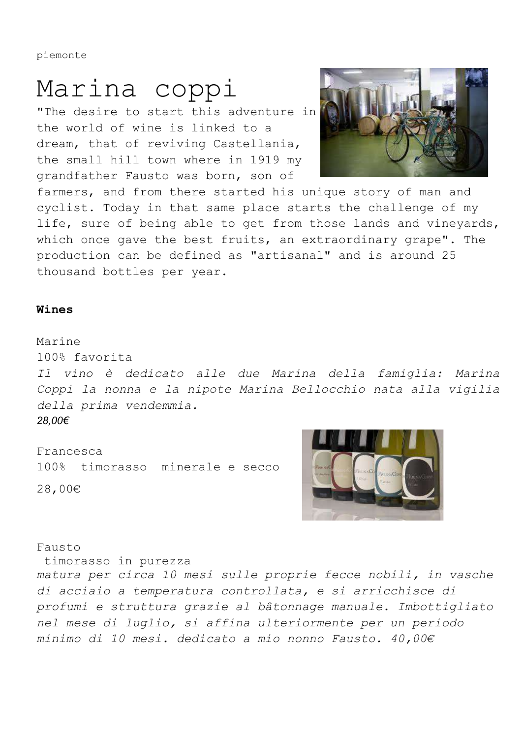piemonte

## Marina coppi

"The desire to start this adventure in the world of wine is linked to a dream, that of reviving Castellania, the small hill town where in 1919 my grandfather Fausto was born, son of



farmers, and from there started his unique story of man and cyclist. Today in that same place starts the challenge of my life, sure of being able to get from those lands and vineyards, which once gave the best fruits, an extraordinary grape". The production can be defined as "artisanal" and is around 25 thousand bottles per year.

#### Wines

Marine 100% favorita

Il vino è dedicato alle due Marina della famiglia: Marina Coppi la nonna e la nipote Marina Bellocchio nata alla vigilia della prima vendemmia. 28,00€

Francesca 100% timorasso minerale e secco 28,00€



Fausto

timorasso in purezza

matura per circa 10 mesi sulle proprie fecce nobili, in vasche di acciaio a temperatura controllata, e si arricchisce di profumi e struttura grazie al bâtonnage manuale. Imbottigliato nel mese di luglio, si affina ulteriormente per un periodo minimo di 10 mesi. dedicato a mio nonno Fausto. 40,00€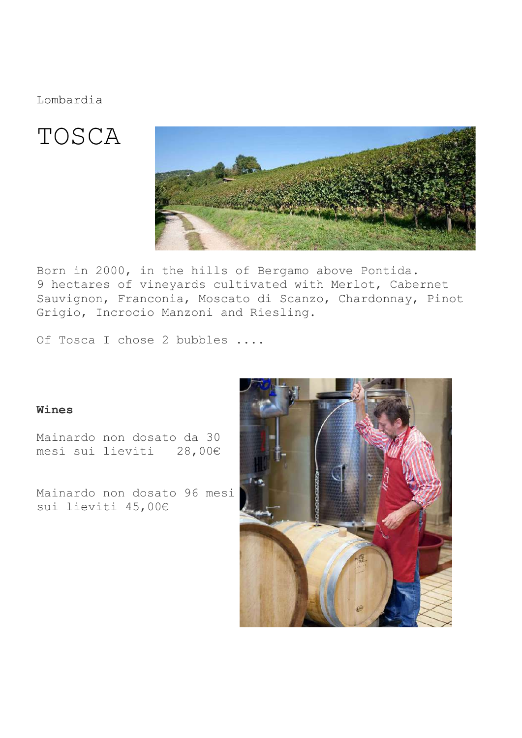Lombardia

## TOSCA



Born in 2000, in the hills of Bergamo above Pontida. 9 hectares of vineyards cultivated with Merlot, Cabernet Sauvignon, Franconia, Moscato di Scanzo, Chardonnay, Pinot Grigio, Incrocio Manzoni and Riesling.

Of Tosca I chose 2 bubbles ....

### Wines

Mainardo non dosato da 30 mesi sui lieviti 28,00€

Mainardo non dosato 96 mesi sui lieviti 45,00€

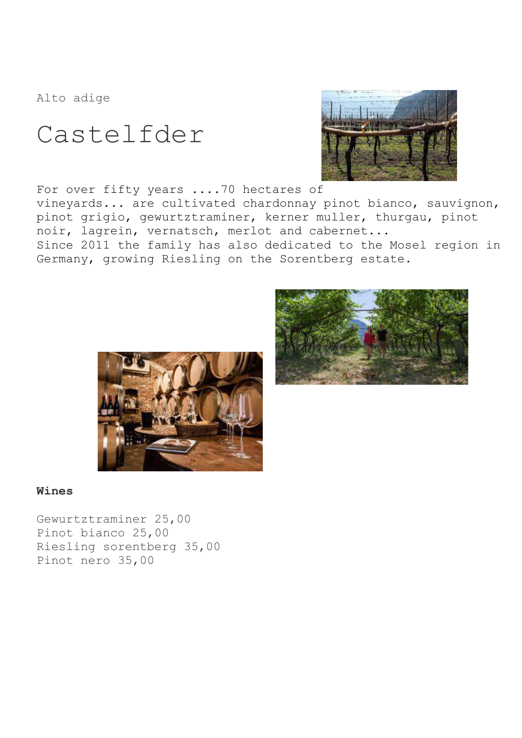Alto adige

Castelfder



For over fifty years ....70 hectares of vineyards... are cultivated chardonnay pinot bianco, sauvignon, pinot grigio, gewurtztraminer, kerner muller, thurgau, pinot noir, lagrein, vernatsch, merlot and cabernet... Since 2011 the family has also dedicated to the Mosel region in Germany, growing Riesling on the Sorentberg estate.





### Wines

Gewurtztraminer 25,00 Pinot bianco 25,00 Riesling sorentberg 35,00 Pinot nero 35,00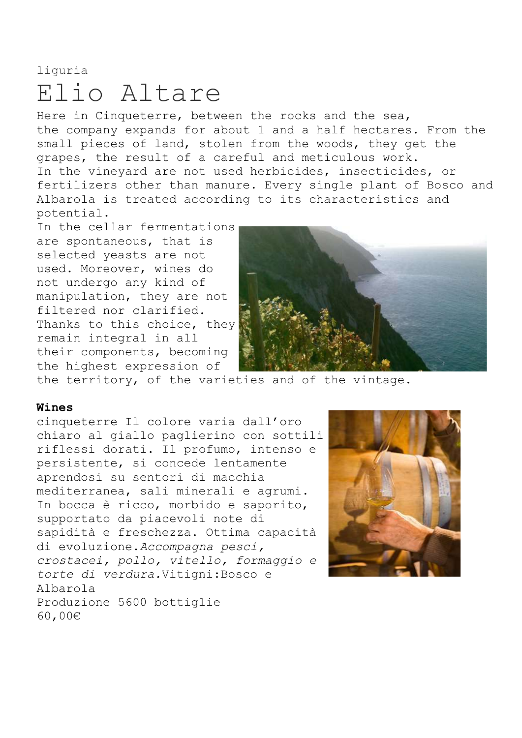### liguria Elio Altare

Here in Cinqueterre, between the rocks and the sea, the company expands for about 1 and a half hectares. From the small pieces of land, stolen from the woods, they get the grapes, the result of a careful and meticulous work. In the vineyard are not used herbicides, insecticides, or fertilizers other than manure. Every single plant of Bosco and Albarola is treated according to its characteristics and potential.

In the cellar fermentations are spontaneous, that is selected yeasts are not used. Moreover, wines do not undergo any kind of manipulation, they are not filtered nor clarified. Thanks to this choice, they remain integral in all their components, becoming the highest expression of



the territory, of the varieties and of the vintage.

### Wines

cinqueterre Il colore varia dall'oro chiaro al giallo paglierino con sottili riflessi dorati. Il profumo, intenso e persistente, si concede lentamente aprendosi su sentori di macchia mediterranea, sali minerali e agrumi. In bocca è ricco, morbido e saporito, supportato da piacevoli note di sapidità e freschezza. Ottima capacità di evoluzione.Accompagna pesci, crostacei, pollo, vitello, formaggio e torte di verdura.Vitigni:Bosco e Albarola Produzione 5600 bottiglie 60,00€

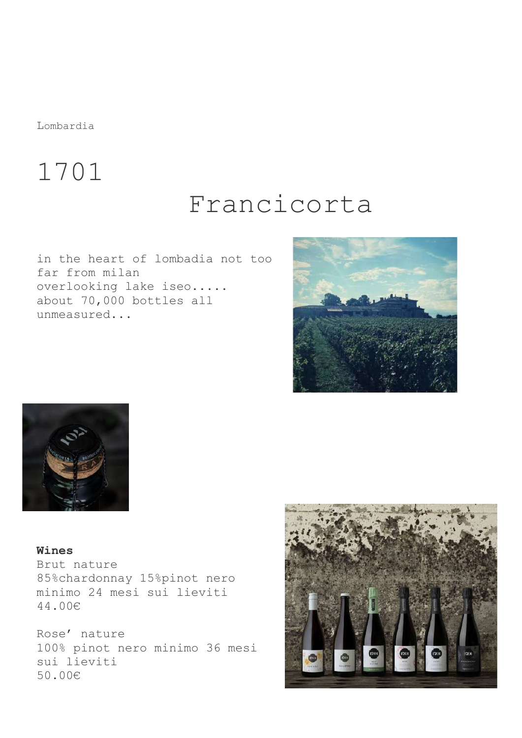Lombardia

## 1701

## Francicorta

in the heart of lombadia not too far from milan overlooking lake iseo..... about 70,000 bottles all unmeasured...





Wines Brut nature 85%chardonnay 15%pinot nero minimo 24 mesi sui lieviti 44.00€

Rose' nature 100% pinot nero minimo 36 mesi sui lieviti 50.00€

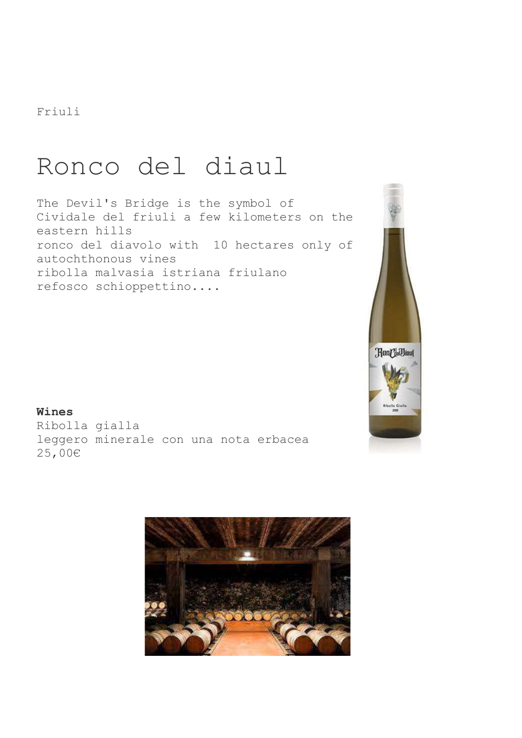Friuli

## Ronco del diaul

The Devil's Bridge is the symbol of Cividale del friuli a few kilometers on the eastern hills ronco del diavolo with 10 hectares only of autochthonous vines ribolla malvasia istriana friulano refosco schioppettino....



Wines

Ribolla gialla leggero minerale con una nota erbacea 25,00€

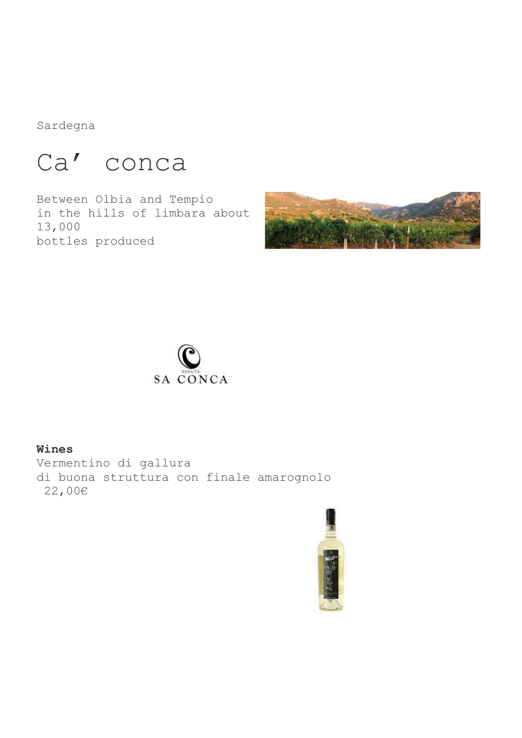Sardegna

## Ca' conca

Between Olbia and Tempio in the hills of limbara about 13,000 bottles produced





### Wines

Vermentino di gallura di buona struttura con finale amarognolo 22,00€

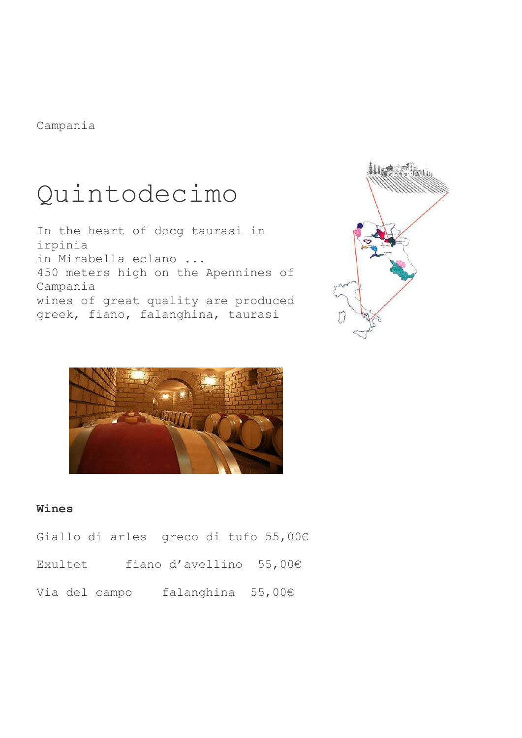Campania

## Quintodecimo

In the heart of docg taurasi in irpinia in Mirabella eclano ... 450 meters high on the Apennines of Campania wines of great quality are produced greek, fiano, falanghina, taurasi





### Wines

Giallo di arles greco di tufo 55,00€

| Exultet |  | fiano d'avellino $55,00E$ |  |
|---------|--|---------------------------|--|
|---------|--|---------------------------|--|

Via del campo falanghina 55,00€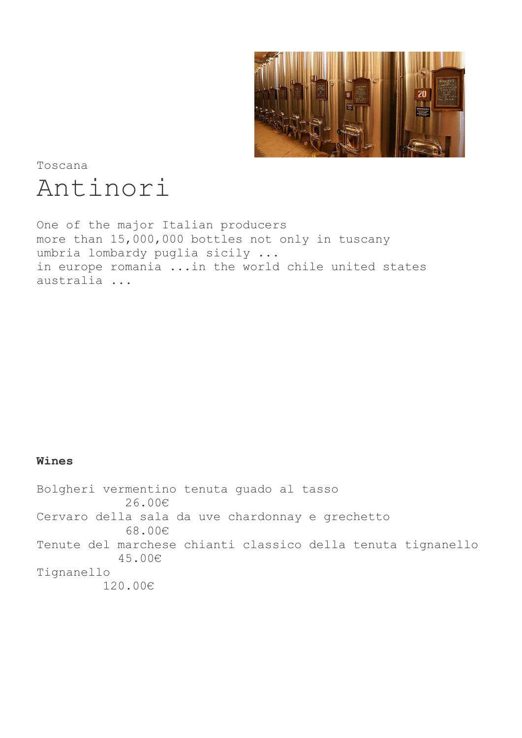

Toscana Antinori

One of the major Italian producers more than 15,000,000 bottles not only in tuscany umbria lombardy puglia sicily ... in europe romania ...in the world chile united states australia ...

### Wines

Bolgheri vermentino tenuta guado al tasso 26.00€ Cervaro della sala da uve chardonnay e grechetto 68.00€ Tenute del marchese chianti classico della tenuta tignanello 45.00€ Tignanello 120.00€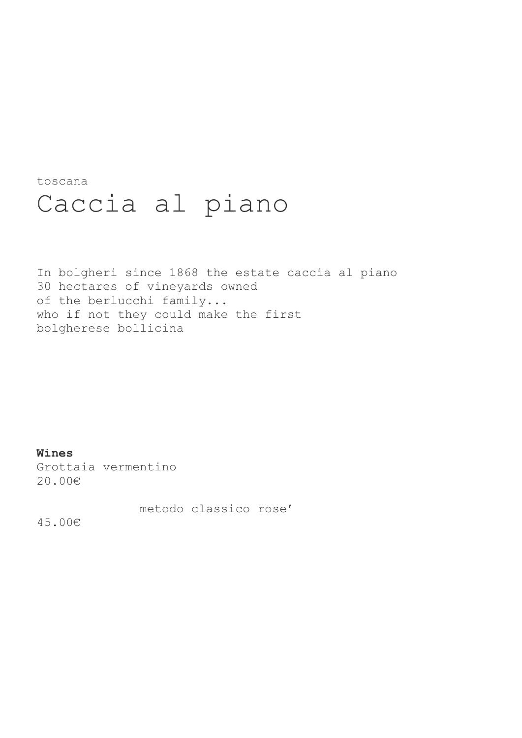toscana

## Caccia al piano

In bolgheri since 1868 the estate caccia al piano 30 hectares of vineyards owned of the berlucchi family... who if not they could make the first bolgherese bollicina

Wines Grottaia vermentino 20.00€

metodo classico rose'

45.00€